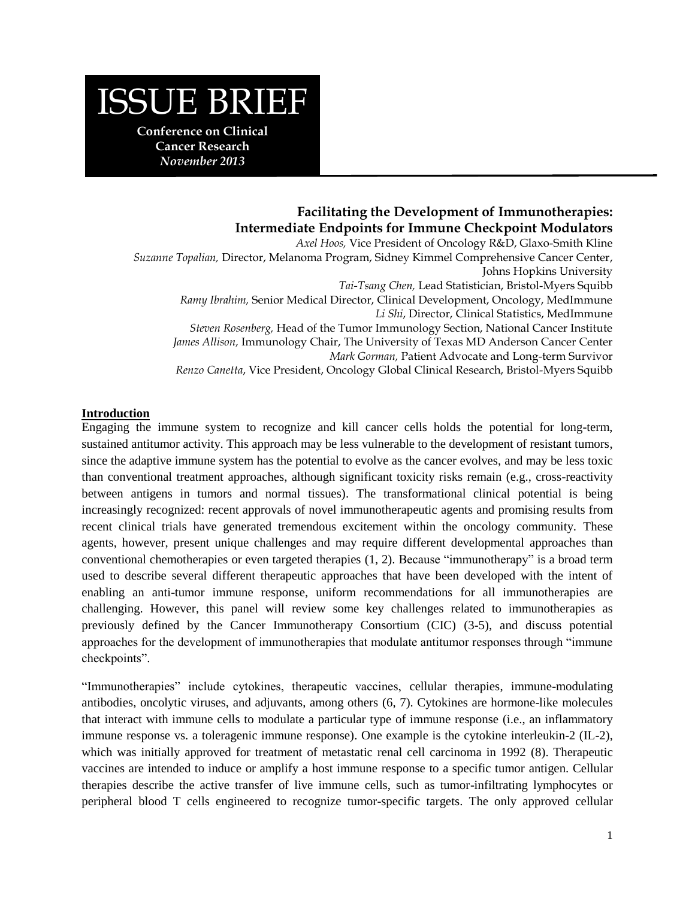# ISSUE BRIEF

**Conference on Clinical Cancer Research** *November 2013*

#### **Cancer Research Facilitating the Development of Immunotherapies: Intermediate Endpoints for Immune Checkpoint Modulators**

*November 2013 Suzanne Topalian,* Director, Melanoma Program, Sidney Kimmel Comprehensive Cancer Center, *Axel Hoos,* Vice President of Oncology R&D, Glaxo-Smith Kline Johns Hopkins University *Tai-Tsang Chen,* Lead Statistician, Bristol-Myers Squibb *Ramy Ibrahim,* Senior Medical Director, Clinical Development, Oncology, MedImmune *Li Shi*, Director, Clinical Statistics, MedImmune *Steven Rosenberg,* Head of the Tumor Immunology Section, National Cancer Institute *James Allison,* Immunology Chair, The University of Texas MD Anderson Cancer Center *Mark Gorman,* Patient Advocate and Long-term Survivor *Renzo Canetta*, Vice President, Oncology Global Clinical Research, Bristol-Myers Squibb

## **Introduction**

Engaging the immune system to recognize and kill cancer cells holds the potential for long-term, sustained antitumor activity. This approach may be less vulnerable to the development of resistant tumors, since the adaptive immune system has the potential to evolve as the cancer evolves, and may be less toxic than conventional treatment approaches, although significant toxicity risks remain (e.g., cross-reactivity between antigens in tumors and normal tissues). The transformational clinical potential is being increasingly recognized: recent approvals of novel immunotherapeutic agents and promising results from recent clinical trials have generated tremendous excitement within the oncology community. These agents, however, present unique challenges and may require different developmental approaches than conventional chemotherapies or even targeted therapies [\(1,](#page-6-0) [2\)](#page-6-1). Because "immunotherapy" is a broad term used to describe several different therapeutic approaches that have been developed with the intent of enabling an anti-tumor immune response, uniform recommendations for all immunotherapies are challenging. However, this panel will review some key challenges related to immunotherapies as previously defined by the Cancer Immunotherapy Consortium (CIC) [\(3-5\)](#page-6-2), and discuss potential approaches for the development of immunotherapies that modulate antitumor responses through "immune checkpoints".

"Immunotherapies" include cytokines, therapeutic vaccines, cellular therapies, immune-modulating antibodies, oncolytic viruses, and adjuvants, among others [\(6,](#page-6-3) [7\)](#page-6-4). Cytokines are hormone-like molecules that interact with immune cells to modulate a particular type of immune response (i.e., an inflammatory immune response vs. a toleragenic immune response). One example is the cytokine interleukin-2 (IL-2), which was initially approved for treatment of metastatic renal cell carcinoma in 1992 [\(8\)](#page-6-5). Therapeutic vaccines are intended to induce or amplify a host immune response to a specific tumor antigen. Cellular therapies describe the active transfer of live immune cells, such as tumor-infiltrating lymphocytes or peripheral blood T cells engineered to recognize tumor-specific targets. The only approved cellular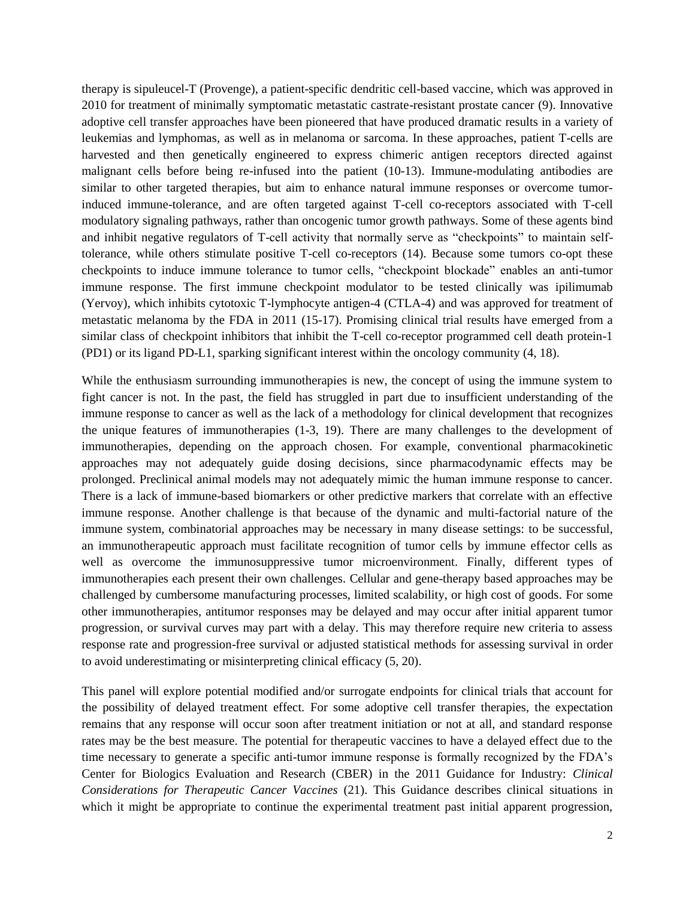therapy is sipuleucel-T (Provenge), a patient-specific dendritic cell-based vaccine, which was approved in 2010 for treatment of minimally symptomatic metastatic castrate-resistant prostate cancer [\(9\)](#page-6-6). Innovative adoptive cell transfer approaches have been pioneered that have produced dramatic results in a variety of leukemias and lymphomas, as well as in melanoma or sarcoma. In these approaches, patient T-cells are harvested and then genetically engineered to express chimeric antigen receptors directed against malignant cells before being re-infused into the patient [\(10-13\)](#page-6-7). Immune-modulating antibodies are similar to other targeted therapies, but aim to enhance natural immune responses or overcome tumorinduced immune-tolerance, and are often targeted against T-cell co-receptors associated with T-cell modulatory signaling pathways, rather than oncogenic tumor growth pathways. Some of these agents bind and inhibit negative regulators of T-cell activity that normally serve as "checkpoints" to maintain selftolerance, while others stimulate positive T-cell co-receptors [\(14\)](#page-6-8). Because some tumors co-opt these checkpoints to induce immune tolerance to tumor cells, "checkpoint blockade" enables an anti-tumor immune response. The first immune checkpoint modulator to be tested clinically was ipilimumab (Yervoy), which inhibits cytotoxic T-lymphocyte antigen-4 (CTLA-4) and was approved for treatment of metastatic melanoma by the FDA in 2011 [\(15-17\)](#page-6-9). Promising clinical trial results have emerged from a similar class of checkpoint inhibitors that inhibit the T-cell co-receptor programmed cell death protein-1 (PD1) or its ligand PD-L1, sparking significant interest within the oncology community [\(4,](#page-6-10) [18\)](#page-6-11).

While the enthusiasm surrounding immunotherapies is new, the concept of using the immune system to fight cancer is not. In the past, the field has struggled in part due to insufficient understanding of the immune response to cancer as well as the lack of a methodology for clinical development that recognizes the unique features of immunotherapies [\(1-3,](#page-6-0) [19\)](#page-6-12). There are many challenges to the development of immunotherapies, depending on the approach chosen. For example, conventional pharmacokinetic approaches may not adequately guide dosing decisions, since pharmacodynamic effects may be prolonged. Preclinical animal models may not adequately mimic the human immune response to cancer. There is a lack of immune-based biomarkers or other predictive markers that correlate with an effective immune response. Another challenge is that because of the dynamic and multi-factorial nature of the immune system, combinatorial approaches may be necessary in many disease settings: to be successful, an immunotherapeutic approach must facilitate recognition of tumor cells by immune effector cells as well as overcome the immunosuppressive tumor microenvironment. Finally, different types of immunotherapies each present their own challenges. Cellular and gene-therapy based approaches may be challenged by cumbersome manufacturing processes, limited scalability, or high cost of goods. For some other immunotherapies, antitumor responses may be delayed and may occur after initial apparent tumor progression, or survival curves may part with a delay. This may therefore require new criteria to assess response rate and progression-free survival or adjusted statistical methods for assessing survival in order to avoid underestimating or misinterpreting clinical efficacy [\(5,](#page-6-13) [20\)](#page-6-14).

This panel will explore potential modified and/or surrogate endpoints for clinical trials that account for the possibility of delayed treatment effect. For some adoptive cell transfer therapies, the expectation remains that any response will occur soon after treatment initiation or not at all, and standard response rates may be the best measure. The potential for therapeutic vaccines to have a delayed effect due to the time necessary to generate a specific anti-tumor immune response is formally recognized by the FDA's Center for Biologics Evaluation and Research (CBER) in the 2011 Guidance for Industry: *Clinical Considerations for Therapeutic Cancer Vaccines* [\(21\)](#page-6-15). This Guidance describes clinical situations in which it might be appropriate to continue the experimental treatment past initial apparent progression,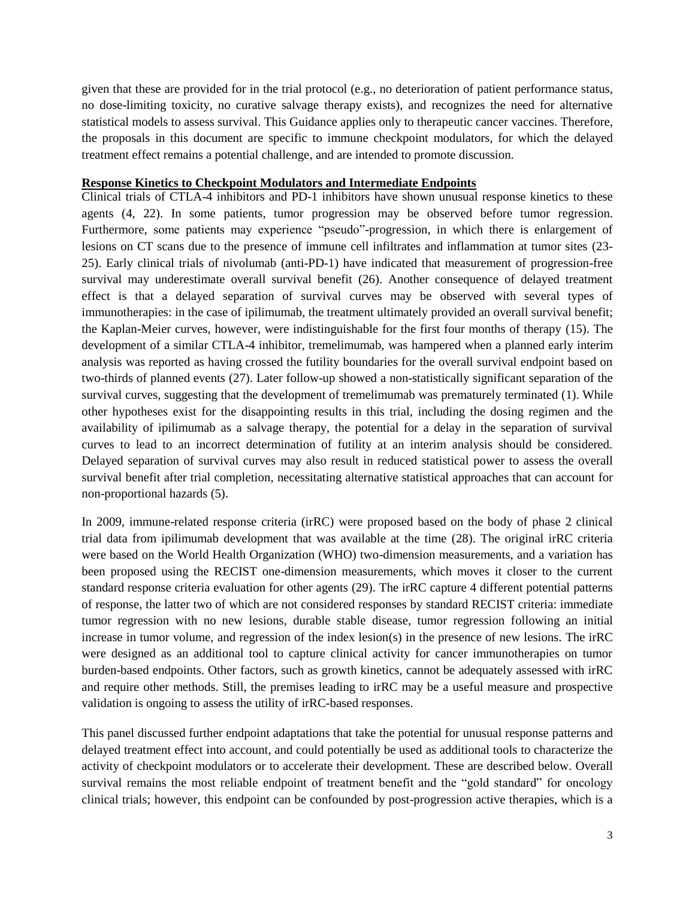given that these are provided for in the trial protocol (e.g., no deterioration of patient performance status, no dose-limiting toxicity, no curative salvage therapy exists), and recognizes the need for alternative statistical models to assess survival. This Guidance applies only to therapeutic cancer vaccines. Therefore, the proposals in this document are specific to immune checkpoint modulators, for which the delayed treatment effect remains a potential challenge, and are intended to promote discussion.

# **Response Kinetics to Checkpoint Modulators and Intermediate Endpoints**

Clinical trials of CTLA-4 inhibitors and PD-1 inhibitors have shown unusual response kinetics to these agents [\(4,](#page-6-10) [22\)](#page-6-16). In some patients, tumor progression may be observed before tumor regression. Furthermore, some patients may experience "pseudo"-progression, in which there is enlargement of lesions on CT scans due to the presence of immune cell infiltrates and inflammation at tumor sites [\(23-](#page-6-17) [25\)](#page-6-17). Early clinical trials of nivolumab (anti-PD-1) have indicated that measurement of progression-free survival may underestimate overall survival benefit [\(26\)](#page-7-0). Another consequence of delayed treatment effect is that a delayed separation of survival curves may be observed with several types of immunotherapies: in the case of ipilimumab, the treatment ultimately provided an overall survival benefit; the Kaplan-Meier curves, however, were indistinguishable for the first four months of therapy [\(15\)](#page-6-9). The development of a similar CTLA-4 inhibitor, tremelimumab, was hampered when a planned early interim analysis was reported as having crossed the futility boundaries for the overall survival endpoint based on two-thirds of planned events [\(27\)](#page-7-1). Later follow-up showed a non-statistically significant separation of the survival curves, suggesting that the development of tremelimumab was prematurely terminated [\(1\)](#page-6-0). While other hypotheses exist for the disappointing results in this trial, including the dosing regimen and the availability of ipilimumab as a salvage therapy, the potential for a delay in the separation of survival curves to lead to an incorrect determination of futility at an interim analysis should be considered. Delayed separation of survival curves may also result in reduced statistical power to assess the overall survival benefit after trial completion, necessitating alternative statistical approaches that can account for non-proportional hazards [\(5\)](#page-6-13).

In 2009, immune-related response criteria (irRC) were proposed based on the body of phase 2 clinical trial data from ipilimumab development that was available at the time [\(28\)](#page-7-2). The original irRC criteria were based on the World Health Organization (WHO) two-dimension measurements, and a variation has been proposed using the RECIST one-dimension measurements, which moves it closer to the current standard response criteria evaluation for other agents [\(29\)](#page-7-3). The irRC capture 4 different potential patterns of response, the latter two of which are not considered responses by standard RECIST criteria: immediate tumor regression with no new lesions, durable stable disease, tumor regression following an initial increase in tumor volume, and regression of the index lesion(s) in the presence of new lesions. The irRC were designed as an additional tool to capture clinical activity for cancer immunotherapies on tumor burden-based endpoints. Other factors, such as growth kinetics, cannot be adequately assessed with irRC and require other methods. Still, the premises leading to irRC may be a useful measure and prospective validation is ongoing to assess the utility of irRC-based responses.

This panel discussed further endpoint adaptations that take the potential for unusual response patterns and delayed treatment effect into account, and could potentially be used as additional tools to characterize the activity of checkpoint modulators or to accelerate their development. These are described below. Overall survival remains the most reliable endpoint of treatment benefit and the "gold standard" for oncology clinical trials; however, this endpoint can be confounded by post-progression active therapies, which is a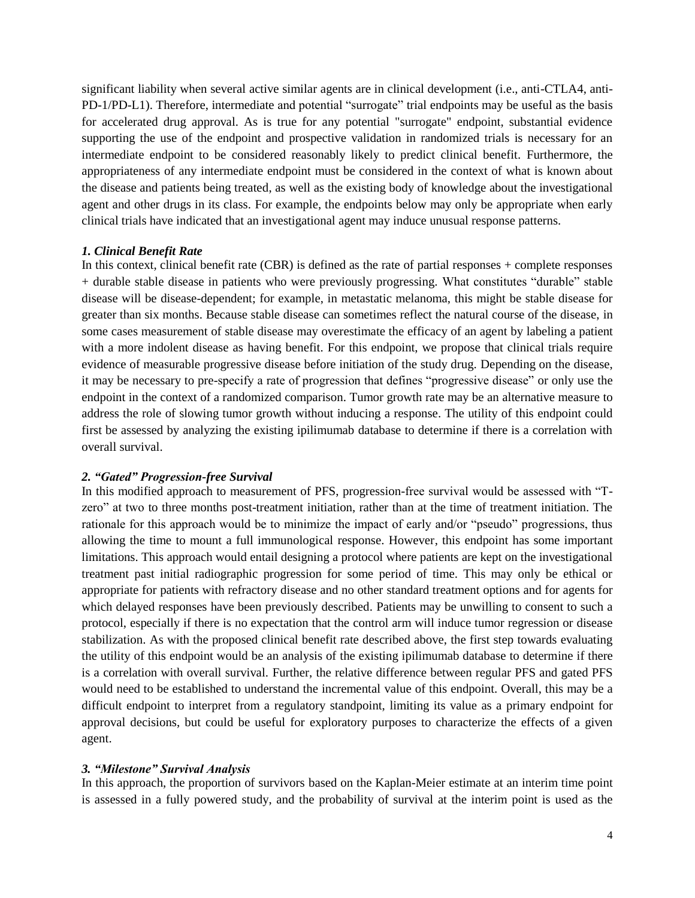significant liability when several active similar agents are in clinical development (i.e., anti-CTLA4, anti-PD-1/PD-L1). Therefore, intermediate and potential "surrogate" trial endpoints may be useful as the basis for accelerated drug approval. As is true for any potential "surrogate" endpoint, substantial evidence supporting the use of the endpoint and prospective validation in randomized trials is necessary for an intermediate endpoint to be considered reasonably likely to predict clinical benefit. Furthermore, the appropriateness of any intermediate endpoint must be considered in the context of what is known about the disease and patients being treated, as well as the existing body of knowledge about the investigational agent and other drugs in its class. For example, the endpoints below may only be appropriate when early clinical trials have indicated that an investigational agent may induce unusual response patterns.

### *1. Clinical Benefit Rate*

In this context, clinical benefit rate (CBR) is defined as the rate of partial responses + complete responses + durable stable disease in patients who were previously progressing. What constitutes "durable" stable disease will be disease-dependent; for example, in metastatic melanoma, this might be stable disease for greater than six months. Because stable disease can sometimes reflect the natural course of the disease, in some cases measurement of stable disease may overestimate the efficacy of an agent by labeling a patient with a more indolent disease as having benefit. For this endpoint, we propose that clinical trials require evidence of measurable progressive disease before initiation of the study drug. Depending on the disease, it may be necessary to pre-specify a rate of progression that defines "progressive disease" or only use the endpoint in the context of a randomized comparison. Tumor growth rate may be an alternative measure to address the role of slowing tumor growth without inducing a response. The utility of this endpoint could first be assessed by analyzing the existing ipilimumab database to determine if there is a correlation with overall survival.

#### *2. "Gated" Progression-free Survival*

In this modified approach to measurement of PFS, progression-free survival would be assessed with "Tzero" at two to three months post-treatment initiation, rather than at the time of treatment initiation. The rationale for this approach would be to minimize the impact of early and/or "pseudo" progressions, thus allowing the time to mount a full immunological response. However, this endpoint has some important limitations. This approach would entail designing a protocol where patients are kept on the investigational treatment past initial radiographic progression for some period of time. This may only be ethical or appropriate for patients with refractory disease and no other standard treatment options and for agents for which delayed responses have been previously described. Patients may be unwilling to consent to such a protocol, especially if there is no expectation that the control arm will induce tumor regression or disease stabilization. As with the proposed clinical benefit rate described above, the first step towards evaluating the utility of this endpoint would be an analysis of the existing ipilimumab database to determine if there is a correlation with overall survival. Further, the relative difference between regular PFS and gated PFS would need to be established to understand the incremental value of this endpoint. Overall, this may be a difficult endpoint to interpret from a regulatory standpoint, limiting its value as a primary endpoint for approval decisions, but could be useful for exploratory purposes to characterize the effects of a given agent.

## *3. "Milestone" Survival Analysis*

In this approach, the proportion of survivors based on the Kaplan-Meier estimate at an interim time point is assessed in a fully powered study, and the probability of survival at the interim point is used as the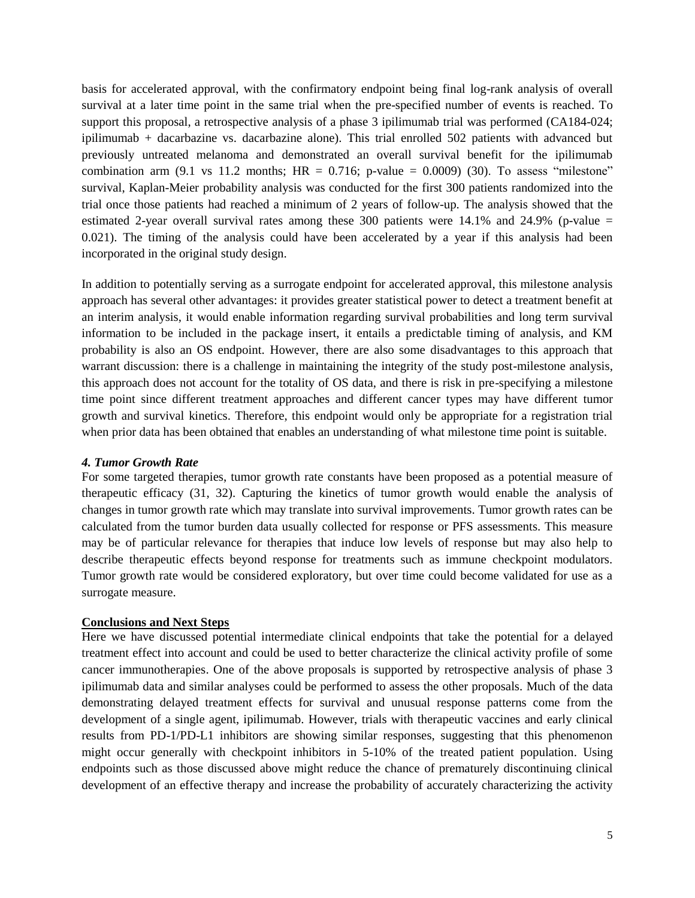basis for accelerated approval, with the confirmatory endpoint being final log-rank analysis of overall survival at a later time point in the same trial when the pre-specified number of events is reached. To support this proposal, a retrospective analysis of a phase 3 ipilimumab trial was performed (CA184-024; ipilimumab + dacarbazine vs. dacarbazine alone). This trial enrolled 502 patients with advanced but previously untreated melanoma and demonstrated an overall survival benefit for the ipilimumab combination arm  $(9.1 \text{ vs } 11.2 \text{ months}; \text{ HR} = 0.716; \text{ p-value} = 0.0009)$  [\(30\)](#page-7-4). To assess "milestone" survival, Kaplan-Meier probability analysis was conducted for the first 300 patients randomized into the trial once those patients had reached a minimum of 2 years of follow-up. The analysis showed that the estimated 2-year overall survival rates among these 300 patients were  $14.1\%$  and  $24.9\%$  (p-value = 0.021). The timing of the analysis could have been accelerated by a year if this analysis had been incorporated in the original study design.

In addition to potentially serving as a surrogate endpoint for accelerated approval, this milestone analysis approach has several other advantages: it provides greater statistical power to detect a treatment benefit at an interim analysis, it would enable information regarding survival probabilities and long term survival information to be included in the package insert, it entails a predictable timing of analysis, and KM probability is also an OS endpoint. However, there are also some disadvantages to this approach that warrant discussion: there is a challenge in maintaining the integrity of the study post-milestone analysis, this approach does not account for the totality of OS data, and there is risk in pre-specifying a milestone time point since different treatment approaches and different cancer types may have different tumor growth and survival kinetics. Therefore, this endpoint would only be appropriate for a registration trial when prior data has been obtained that enables an understanding of what milestone time point is suitable.

#### *4. Tumor Growth Rate*

For some targeted therapies, tumor growth rate constants have been proposed as a potential measure of therapeutic efficacy [\(31,](#page-7-5) [32\)](#page-7-6). Capturing the kinetics of tumor growth would enable the analysis of changes in tumor growth rate which may translate into survival improvements. Tumor growth rates can be calculated from the tumor burden data usually collected for response or PFS assessments. This measure may be of particular relevance for therapies that induce low levels of response but may also help to describe therapeutic effects beyond response for treatments such as immune checkpoint modulators. Tumor growth rate would be considered exploratory, but over time could become validated for use as a surrogate measure.

## **Conclusions and Next Steps**

Here we have discussed potential intermediate clinical endpoints that take the potential for a delayed treatment effect into account and could be used to better characterize the clinical activity profile of some cancer immunotherapies. One of the above proposals is supported by retrospective analysis of phase 3 ipilimumab data and similar analyses could be performed to assess the other proposals. Much of the data demonstrating delayed treatment effects for survival and unusual response patterns come from the development of a single agent, ipilimumab. However, trials with therapeutic vaccines and early clinical results from PD-1/PD-L1 inhibitors are showing similar responses, suggesting that this phenomenon might occur generally with checkpoint inhibitors in 5-10% of the treated patient population. Using endpoints such as those discussed above might reduce the chance of prematurely discontinuing clinical development of an effective therapy and increase the probability of accurately characterizing the activity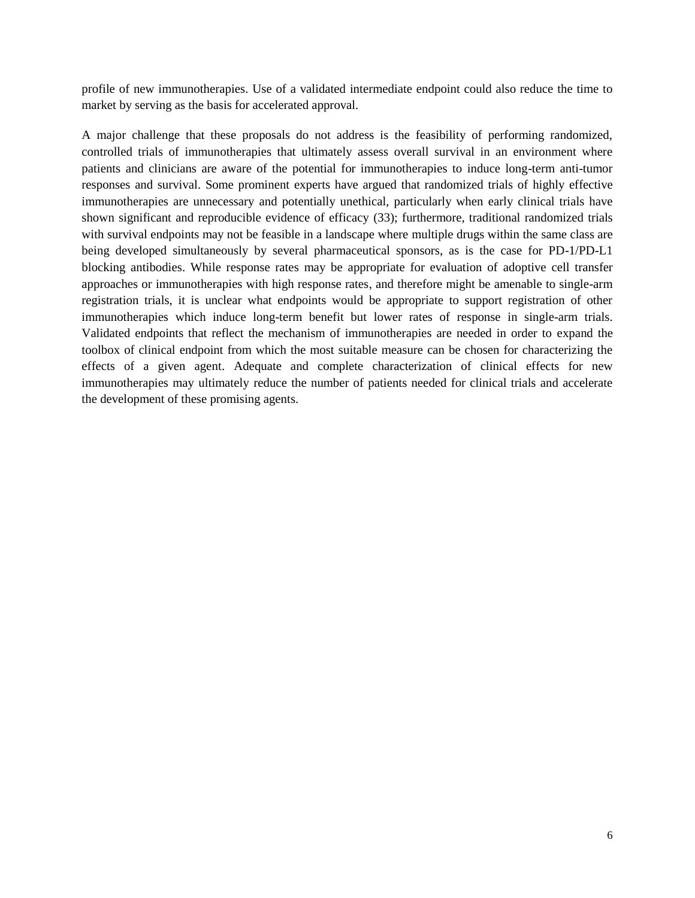profile of new immunotherapies. Use of a validated intermediate endpoint could also reduce the time to market by serving as the basis for accelerated approval.

A major challenge that these proposals do not address is the feasibility of performing randomized, controlled trials of immunotherapies that ultimately assess overall survival in an environment where patients and clinicians are aware of the potential for immunotherapies to induce long-term anti-tumor responses and survival. Some prominent experts have argued that randomized trials of highly effective immunotherapies are unnecessary and potentially unethical, particularly when early clinical trials have shown significant and reproducible evidence of efficacy [\(33\)](#page-7-7); furthermore, traditional randomized trials with survival endpoints may not be feasible in a landscape where multiple drugs within the same class are being developed simultaneously by several pharmaceutical sponsors, as is the case for PD-1/PD-L1 blocking antibodies. While response rates may be appropriate for evaluation of adoptive cell transfer approaches or immunotherapies with high response rates, and therefore might be amenable to single-arm registration trials, it is unclear what endpoints would be appropriate to support registration of other immunotherapies which induce long-term benefit but lower rates of response in single-arm trials. Validated endpoints that reflect the mechanism of immunotherapies are needed in order to expand the toolbox of clinical endpoint from which the most suitable measure can be chosen for characterizing the effects of a given agent. Adequate and complete characterization of clinical effects for new immunotherapies may ultimately reduce the number of patients needed for clinical trials and accelerate the development of these promising agents.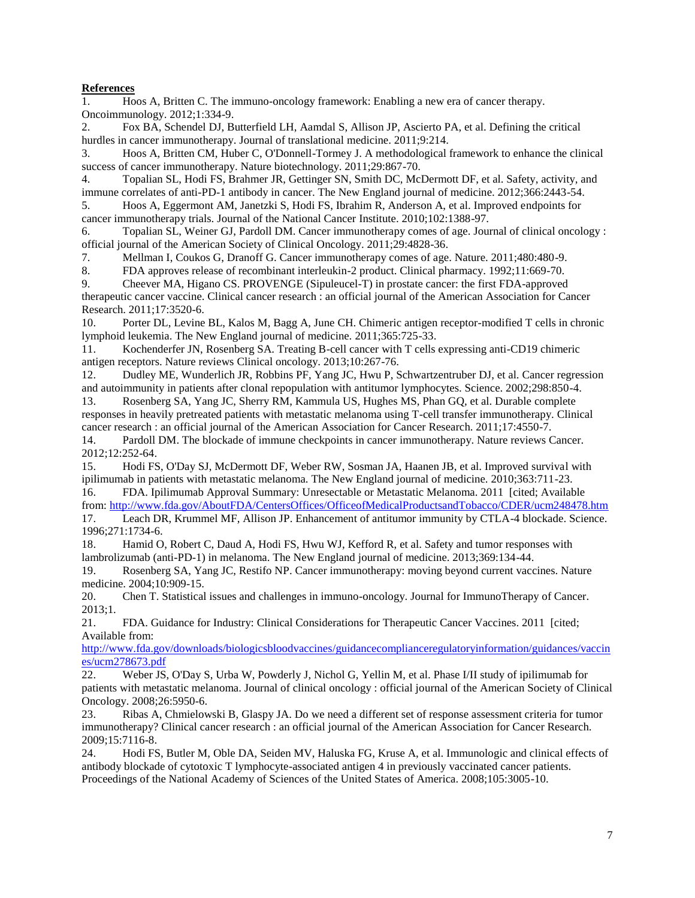#### **References**

<span id="page-6-0"></span>1. Hoos A, Britten C. The immuno-oncology framework: Enabling a new era of cancer therapy. Oncoimmunology. 2012;1:334-9.

<span id="page-6-1"></span>2. Fox BA, Schendel DJ, Butterfield LH, Aamdal S, Allison JP, Ascierto PA, et al. Defining the critical hurdles in cancer immunotherapy. Journal of translational medicine. 2011;9:214.

<span id="page-6-2"></span>3. Hoos A, Britten CM, Huber C, O'Donnell-Tormey J. A methodological framework to enhance the clinical success of cancer immunotherapy. Nature biotechnology. 2011;29:867-70.

<span id="page-6-10"></span>4. Topalian SL, Hodi FS, Brahmer JR, Gettinger SN, Smith DC, McDermott DF, et al. Safety, activity, and immune correlates of anti-PD-1 antibody in cancer. The New England journal of medicine. 2012;366:2443-54.

<span id="page-6-13"></span>5. Hoos A, Eggermont AM, Janetzki S, Hodi FS, Ibrahim R, Anderson A, et al. Improved endpoints for cancer immunotherapy trials. Journal of the National Cancer Institute. 2010;102:1388-97.

<span id="page-6-3"></span>6. Topalian SL, Weiner GJ, Pardoll DM. Cancer immunotherapy comes of age. Journal of clinical oncology : official journal of the American Society of Clinical Oncology. 2011;29:4828-36.

<span id="page-6-4"></span>7. Mellman I, Coukos G, Dranoff G. Cancer immunotherapy comes of age. Nature. 2011;480:480-9.

<span id="page-6-5"></span>8. FDA approves release of recombinant interleukin-2 product. Clinical pharmacy. 1992;11:669-70.

<span id="page-6-6"></span>9. Cheever MA, Higano CS. PROVENGE (Sipuleucel-T) in prostate cancer: the first FDA-approved therapeutic cancer vaccine. Clinical cancer research : an official journal of the American Association for Cancer Research. 2011;17:3520-6.

<span id="page-6-7"></span>10. Porter DL, Levine BL, Kalos M, Bagg A, June CH. Chimeric antigen receptor-modified T cells in chronic lymphoid leukemia. The New England journal of medicine. 2011;365:725-33.

11. Kochenderfer JN, Rosenberg SA. Treating B-cell cancer with T cells expressing anti-CD19 chimeric antigen receptors. Nature reviews Clinical oncology. 2013;10:267-76.

12. Dudley ME, Wunderlich JR, Robbins PF, Yang JC, Hwu P, Schwartzentruber DJ, et al. Cancer regression and autoimmunity in patients after clonal repopulation with antitumor lymphocytes. Science. 2002;298:850-4.

13. Rosenberg SA, Yang JC, Sherry RM, Kammula US, Hughes MS, Phan GQ, et al. Durable complete responses in heavily pretreated patients with metastatic melanoma using T-cell transfer immunotherapy. Clinical cancer research : an official journal of the American Association for Cancer Research. 2011;17:4550-7.

<span id="page-6-8"></span>14. Pardoll DM. The blockade of immune checkpoints in cancer immunotherapy. Nature reviews Cancer. 2012;12:252-64.

<span id="page-6-9"></span>15. Hodi FS, O'Day SJ, McDermott DF, Weber RW, Sosman JA, Haanen JB, et al. Improved survival with ipilimumab in patients with metastatic melanoma. The New England journal of medicine. 2010;363:711-23.

16. FDA. Ipilimumab Approval Summary: Unresectable or Metastatic Melanoma. 2011 [cited; Available from[: http://www.fda.gov/AboutFDA/CentersOffices/OfficeofMedicalProductsandTobacco/CDER/ucm248478.htm](http://www.fda.gov/AboutFDA/CentersOffices/OfficeofMedicalProductsandTobacco/CDER/ucm248478.htm) 17. Leach DR, Krummel MF, Allison JP. Enhancement of antitumor immunity by CTLA-4 blockade. Science. 1996;271:1734-6.

<span id="page-6-11"></span>18. Hamid O, Robert C, Daud A, Hodi FS, Hwu WJ, Kefford R, et al. Safety and tumor responses with lambrolizumab (anti-PD-1) in melanoma. The New England journal of medicine. 2013;369:134-44.

<span id="page-6-12"></span>19. Rosenberg SA, Yang JC, Restifo NP. Cancer immunotherapy: moving beyond current vaccines. Nature medicine. 2004;10:909-15.

<span id="page-6-14"></span>20. Chen T. Statistical issues and challenges in immuno-oncology. Journal for ImmunoTherapy of Cancer. 2013;1.

<span id="page-6-15"></span>21. FDA. Guidance for Industry: Clinical Considerations for Therapeutic Cancer Vaccines. 2011 [cited; Available from:

[http://www.fda.gov/downloads/biologicsbloodvaccines/guidancecomplianceregulatoryinformation/guidances/vaccin](http://www.fda.gov/downloads/biologicsbloodvaccines/guidancecomplianceregulatoryinformation/guidances/vaccines/ucm278673.pdf) [es/ucm278673.pdf](http://www.fda.gov/downloads/biologicsbloodvaccines/guidancecomplianceregulatoryinformation/guidances/vaccines/ucm278673.pdf)

<span id="page-6-16"></span>22. Weber JS, O'Day S, Urba W, Powderly J, Nichol G, Yellin M, et al. Phase I/II study of ipilimumab for patients with metastatic melanoma. Journal of clinical oncology : official journal of the American Society of Clinical Oncology. 2008;26:5950-6.

<span id="page-6-17"></span>23. Ribas A, Chmielowski B, Glaspy JA. Do we need a different set of response assessment criteria for tumor immunotherapy? Clinical cancer research : an official journal of the American Association for Cancer Research. 2009;15:7116-8.

24. Hodi FS, Butler M, Oble DA, Seiden MV, Haluska FG, Kruse A, et al. Immunologic and clinical effects of antibody blockade of cytotoxic T lymphocyte-associated antigen 4 in previously vaccinated cancer patients. Proceedings of the National Academy of Sciences of the United States of America. 2008;105:3005-10.